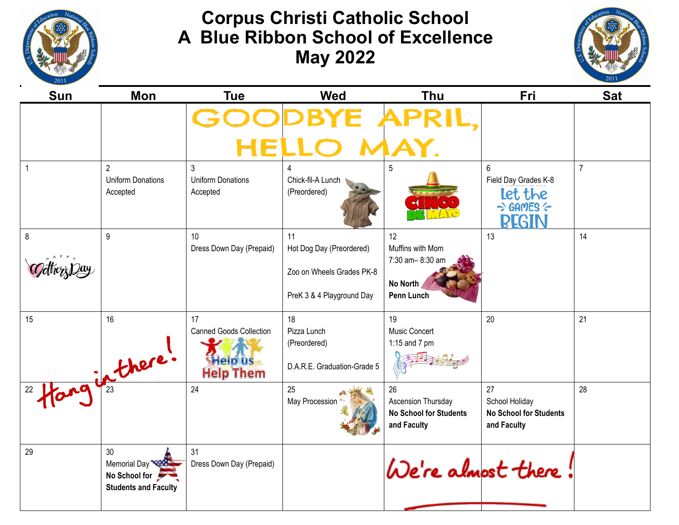

## **Corpus Christi Catholic School A Blue Ribbon School of Excellence May 2022**



| <b>Sun</b> | Mon                                                                | <b>Tue</b>                                                                 | <b>Wed</b>                                                                               | <b>Thu</b>                                                               | Fri                                                                                             | <b>Sat</b>     |
|------------|--------------------------------------------------------------------|----------------------------------------------------------------------------|------------------------------------------------------------------------------------------|--------------------------------------------------------------------------|-------------------------------------------------------------------------------------------------|----------------|
|            |                                                                    |                                                                            |                                                                                          |                                                                          |                                                                                                 |                |
| 1          | $\overline{2}$<br><b>Uniform Donations</b><br>Accepted             | 3<br><b>Uniform Donations</b><br>Accepted                                  | 4<br>Chick-fil-A Lunch<br>(Preordered)                                                   | 5                                                                        | 6<br>Field Day Grades K-8<br><b>Let the</b><br>$\Rightarrow$ GAMES $\Leftarrow$<br><b>BEGIN</b> | $\overline{7}$ |
| 8          | 9                                                                  | 10<br>Dress Down Day (Prepaid)                                             | 11<br>Hot Dog Day (Preordered)<br>Zoo on Wheels Grades PK-8<br>PreK 3 & 4 Playground Day | 12<br>Muffins with Mom<br>7:30 am-8:30 am<br>No North<br>Penn Lunch      | 13                                                                                              | 14             |
| 15         | 16<br>2 Hanginthere!                                               | 17<br><b>Canned Goods Collection</b><br><b>Help us</b><br><b>Help Them</b> | 18<br>Pizza Lunch<br>(Preordered)<br>D.A.R.E. Graduation-Grade 5                         | 19<br>Music Concert<br>1:15 and 7 pm                                     | 20                                                                                              | 21             |
|            |                                                                    | 24                                                                         | 25<br>May Procession                                                                     | 26<br>Ascension Thursday<br><b>No School for Students</b><br>and Faculty | 27<br>School Holiday<br><b>No School for Students</b><br>and Faculty                            | 28             |
| 29         | 30<br>Memorial Day<br>No School for<br><b>Students and Faculty</b> | 31<br>Dress Down Day (Prepaid)                                             |                                                                                          | We're almost there                                                       |                                                                                                 |                |